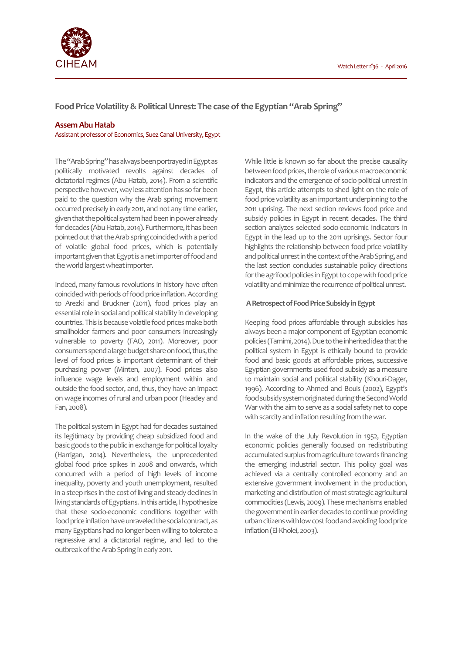

**Food Price Volatility & Political Unrest: The case of the Egyptian "Arab Spring"** 

### **Assem Abu Hatab**

Assistant professor of Economics, Suez Canal University, Egypt

The "Arab Spring" has always been portrayed in Egypt as politically motivated revolts against decades of dictatorial regimes (Abu Hatab, 2014). From a scientific perspective however, way less attention has so far been paid to the question why the Arab spring movement occurred precisely in early 2011, and not any time earlier, given that the political system had been in power already for decades (Abu Hatab, 2014). Furthermore, it has been pointed out that the Arab spring coincided with a period of volatile global food prices, which is potentially important given that Egypt is a net importer of food and the world largest wheat importer.

Indeed, many famous revolutions in history have often coincided with periods of food price inflation. According to Arezki and Bruckner (2011), food prices play an essential role in social and political stability in developing countries. This is because volatile food prices make both smallholder farmers and poor consumers increasingly vulnerable to poverty (FAO, 2011). Moreover, poor consumers spend a large budget share on food, thus, the level of food prices is important determinant of their purchasing power (Minten, 2007). Food prices also influence wage levels and employment within and outside the food sector, and, thus, they have an impact on wage incomes of rural and urban poor (Headey and Fan, 2008).

The political system in Egypt had for decades sustained its legitimacy by providing cheap subsidized food and basic goods to the public in exchange for political loyalty (Harrigan, 2014). Nevertheless, the unprecedented global food price spikes in 2008 and onwards, which concurred with a period of high levels of income inequality, poverty and youth unemployment, resulted in a steep rises in the cost of living and steady declines in living standards of Egyptians. In this article, I hypothesize that these socio-economic conditions together with food price inflation have unraveled the social contract, as many Egyptians had no longer been willing to tolerate a repressive and a dictatorial regime, and led to the outbreak of the Arab Spring in early 2011.

While little is known so far about the precise causality between food prices, the role of various macroeconomic indicators and the emergence of socio-political unrest in Egypt, this article attempts to shed light on the role of food price volatility as an important underpinning to the 2011 uprising. The next section reviews food price and subsidy policies in Egypt in recent decades. The third section analyzes selected socio-economic indicators in Egypt in the lead up to the 2011 uprisings. Sector four highlights the relationship between food price volatility and political unrest in the context of the Arab Spring, and the last section concludes sustainable policy directions for the agrifood policies in Egypt to cope with food price volatility and minimize the recurrence of political unrest.

#### **A Retrospect of Food Price Subsidy in Egypt**

Keeping food prices affordable through subsidies has always been a major component of Egyptian economic policies (Tamimi, 2014). Due to the inherited idea that the political system in Egypt is ethically bound to provide food and basic goods at affordable prices, successive Egyptian governments used food subsidy as a measure to maintain social and political stability (Khouri-Dager, 1996). According to Ahmed and Bouis (2002), Egypt's food subsidy system originated during the Second World War with the aim to serve as a social safety net to cope with scarcity and inflation resulting from the war.

In the wake of the July Revolution in 1952, Egyptian economic policies generally focused on redistributing accumulated surplus from agriculture towards financing the emerging industrial sector. This policy goal was achieved via a centrally controlled economy and an extensive government involvement in the production, marketing and distribution of most strategic agricultural commodities (Lewis, 2009). These mechanisms enabled the government in earlier decades to continue providing urban citizens with low cost food and avoiding food price inflation (El-Kholei, 2003).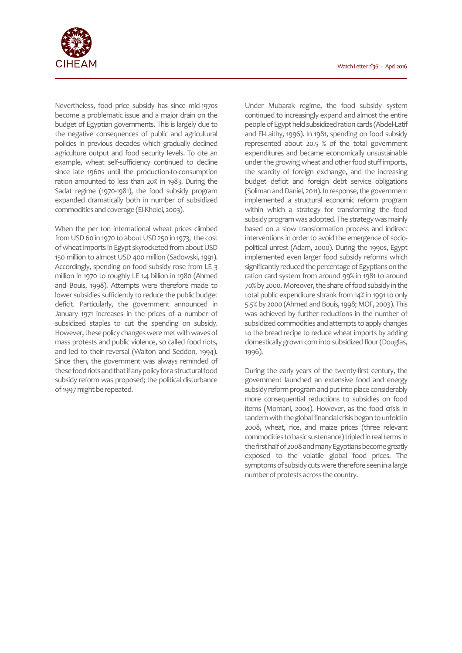

Nevertheless, food price subsidy has since mid-1970s become a problematic issue and a major drain on the budget of Egyptian governments. This is largely due to the negative consequences of public and agricultural policies in previous decades which gradually declined agriculture output and food security levels. To cite an example, wheat self-sufficiency continued to decline since late 1960s until the production-to-consumption ration amounted to less than 20% in 1983. During the Sadat regime (1970-1981), the food subsidy program expanded dramatically both in number of subsidized commodities and coverage (El-Kholei, 2003).

When the per ton international wheat prices climbed from USD 60 in 1970 to about USD 250 in 1973, the cost of wheat imports in Egypt skyrocketed from about USD 150 million to almost USD 400 million (Sadowski, 1991). Accordingly, spending on food subsidy rose from LE 3 million in 1970 to roughly LE 1.4 billion in 1980 (Ahmed and Bouis, 1998). Attempts were therefore made to lower subsidies sufficiently to reduce the public budget deficit. Particularly, the government announced in January 1971 increases in the prices of a number of subsidized staples to cut the spending on subsidy. However, these policy changes were met with waves of mass protests and public violence, so called food riots, and led to their reversal (Walton and Seddon, 1994). Since then, the government was always reminded of these food riots and that if any policy for a structural food subsidy reform was proposed; the political disturbance of 1997 might be repeated.

Under Mubarak regime, the food subsidy system continued to increasingly expand and almost the entire people of Egypt held subsidized ration cards (Abdel-Latif and El-Laithy, 1996). In 1981, spending on food subsidy represented about 20.5 % of the total government expenditures and became economically unsustainable under the growing wheat and other food stuff imports, the scarcity of foreign exchange, and the increasing budget deficit and foreign debt service obligations (Soliman and Daniel, 2011). In response, the government implemented a structural economic reform program within which a strategy for transforming the food subsidy program was adopted. The strategy was mainly based on a slow transformation process and indirect interventions in order to avoid the emergence of sociopolitical unrest (Adam, 2000). During the 1990s, Egypt implemented even larger food subsidy reforms which significantly reduced the percentage of Egyptians on the ration card system from around 99% in 1981 to around 70% by 2000. Moreover, the share of food subsidy in the total public expenditure shrank from 14% in 1991 to only 5.5% by 2000 (Ahmed and Bouis, 1998; MOF, 2003). This was achieved by further reductions in the number of subsidized commodities and attempts to apply changes to the bread recipe to reduce wheat imports by adding domestically grown corn into subsidized flour (Douglas, 1996).

During the early years of the twenty-first century, the government launched an extensive food and energy subsidy reform program and put into place considerably more consequential reductions to subsidies on food items (Momani, 2004). However, as the food crisis in tandem with the global financial crisis began to unfold in 2008, wheat, rice, and maize prices (three relevant commodities to basic sustenance) tripled in real terms in the first half of 2008 and many Egyptians become greatly exposed to the volatile global food prices. The symptoms of subsidy cuts were therefore seen in a large number of protests across the country.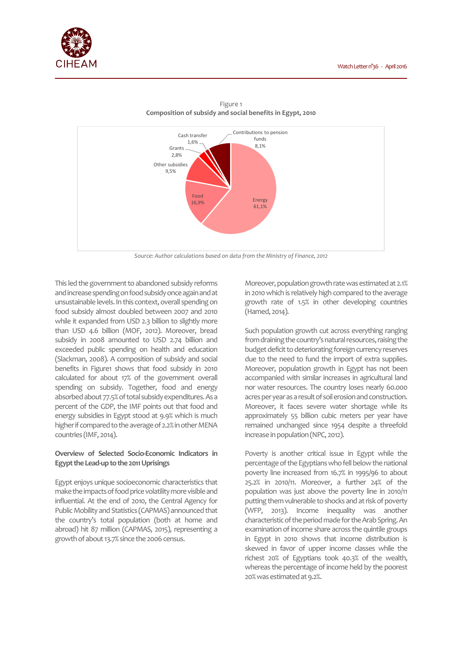



Figure 1 **Composition of subsidy and social benefits in Egypt, 2010** 

This led the government to abandoned subsidy reforms and increase spending on food subsidy once again and at unsustainable levels. In this context, overall spending on food subsidy almost doubled between 2007 and 2010 while it expanded from USD 2.3 billion to slightly more than USD 4.6 billion (MOF, 2012). Moreover, bread subsidy in 2008 amounted to USD 2.74 billion and exceeded public spending on health and education (Slackman, 2008). A composition of subsidy and social benefits in Figure1 shows that food subsidy in 2010 calculated for about 17% of the government overall spending on subsidy. Together, food and energy absorbed about 77.5% of total subsidy expenditures. As a percent of the GDP, the IMF points out that food and energy subsidies in Egypt stood at 9.9% which is much higher if compared to the average of 2.2% in other MENA countries (IMF, 2014).

# **Overview of Selected Socio-Economic Indicators in Egypt the Lead-up to the 2011 Uprisings**

Egypt enjoys unique socioeconomic characteristics that make the impacts of food price volatility more visible and influential. At the end of 2010, the Central Agency for Public Mobility and Statistics (CAPMAS) announced that the country's total population (both at home and abroad) hit 87 million (CAPMAS, 2015), representing a growth of about 13.7% since the 2006 census.

Moreover, population growth rate was estimated at 2.1% in 2010 which is relatively high compared to the average growth rate of 1.5% in other developing countries (Hamed, 2014).

Such population growth cut across everything ranging from draining the country's natural resources, raising the budget deficit to deteriorating foreign currency reserves due to the need to fund the import of extra supplies. Moreover, population growth in Egypt has not been accompanied with similar increases in agricultural land nor water resources. The country loses nearly 60.000 acres per year as a result of soil erosion and construction. Moreover, it faces severe water shortage while its approximately 55 billion cubic meters per year have remained unchanged since 1954 despite a threefold increase in population (NPC, 2012).

Poverty is another critical issue in Egypt while the percentage of the Egyptians who fell below the national poverty line increased from 16.7% in 1995/96 to about 25.2% in 2010/11. Moreover, a further 24% of the population was just above the poverty line in 2010/11 putting them vulnerable to shocks and at risk of poverty (WFP, 2013). Income inequality was another characteristic of the period made for the Arab Spring. An examination of income share across the quintile groups in Egypt in 2010 shows that income distribution is skewed in favor of upper income classes while the richest 20% of Egyptians took 40.3% of the wealth, whereas the percentage of income held by the poorest 20% was estimated at 9.2%.

*Source: Author calculations based on data from the Ministry of Finance, 2012*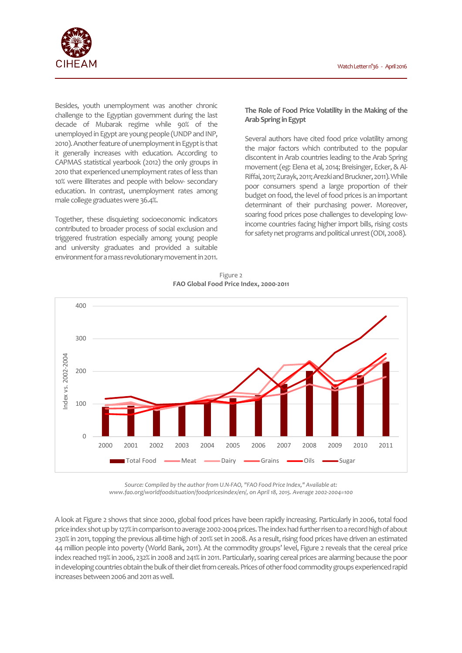

Besides, youth unemployment was another chronic challenge to the Egyptian government during the last decade of Mubarak regime while 90% of the unemployed in Egypt are young people (UNDP and INP, 2010). Another feature of unemployment in Egypt is that it generally increases with education. According to CAPMAS statistical yearbook (2012) the only groups in 2010 that experienced unemployment rates of less than 10% were illiterates and people with below- secondary education. In contrast, unemployment rates among male college graduates were 36.4%.

Together, these disquieting socioeconomic indicators contributed to broader process of social exclusion and triggered frustration especially among young people and university graduates and provided a suitable environment for a mass revolutionary movement in 2011.

## **The Role of Food Price Volatility in the Making of the Arab Spring in Egypt**

Several authors have cited food price volatility among the major factors which contributed to the popular discontent in Arab countries leading to the Arab Spring movement (eg: Elena et al, 2014; Breisinger, Ecker, & Al-Riffai, 2011; Zurayk, 2011; Arezki and Bruckner, 2011). While poor consumers spend a large proportion of their budget on food, the level of food prices is an important determinant of their purchasing power. Moreover, soaring food prices pose challenges to developing lowincome countries facing higher import bills, rising costs for safety net programs and political unrest (ODI, 2008).

Figure 2 **FAO Global Food Price Index, 2000-2011** 



*Source: Compiled by the author from U.N-FAO, "FAO Food Price Index," Available at: www.fao.org/worldfoodsituation/foodpricesindex/en/, on April 18, 2015. Average 2002-2004=100* 

A look at Figure 2 shows that since 2000, global food prices have been rapidly increasing. Particularly in 2006, total food price index shot up by 127% in comparison to average 2002-2004 prices. The index had further risen to a record high of about 230% in 2011, topping the previous all-time high of 201% set in 2008. As a result, rising food prices have driven an estimated 44 million people into poverty (World Bank, 2011). At the commodity groups' level, Figure 2 reveals that the cereal price index reached 119% in 2006, 232% in 2008 and 241% in 2011. Particularly, soaring cereal prices are alarming because the poor in developing countries obtain the bulk of their diet from cereals. Prices of other food commodity groups experienced rapid increases between 2006 and 2011 as well.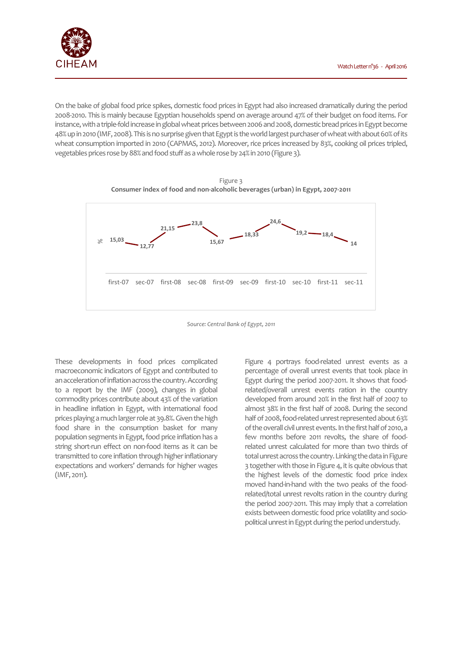Watch Letter n°36 - April 2016

On the bake of global food price spikes, domestic food prices in Egypt had also increased dramatically during the period 2008-2010. This is mainly because Egyptian households spend on average around 47% of their budget on food items. For instance, with a triple-fold increase in global wheat prices between 2006 and 2008, domestic bread prices in Egypt become 48% up in 2010 (IMF, 2008). This is no surprise given that Egypt is the world largest purchaser of wheat with about 60% of its wheat consumption imported in 2010 (CAPMAS, 2012). Moreover, rice prices increased by 83%, cooking oil prices tripled, vegetables prices rose by 88% and food stuff as a whole rose by 24% in 2010 (Figure 3).





*Source: Central Bank of Egypt, 2011* 

These developments in food prices complicated macroeconomic indicators of Egypt and contributed to an acceleration of inflation across the country. According to a report by the IMF (2009), changes in global commodity prices contribute about 43% of the variation in headline inflation in Egypt, with international food prices playing a much larger role at 39.8%. Given the high food share in the consumption basket for many population segments in Egypt, food price inflation has a string short-run effect on non-food items as it can be transmitted to core inflation through higher inflationary expectations and workers' demands for higher wages (IMF, 2011).

Figure 4 portrays food-related unrest events as a percentage of overall unrest events that took place in Egypt during the period 2007-2011. It shows that foodrelated/overall unrest events ration in the country developed from around 20% in the first half of 2007 to almost 38% in the first half of 2008. During the second half of 2008, food-related unrest represented about 63% of the overall civil unrest events. In the first half of 2010, a few months before 2011 revolts, the share of foodrelated unrest calculated for more than two thirds of total unrest across the country. Linking the data in Figure 3 together with those in Figure 4, it is quite obvious that the highest levels of the domestic food price index moved hand-in-hand with the two peaks of the foodrelated/total unrest revolts ration in the country during the period 2007-2011. This may imply that a correlation exists between domestic food price volatility and sociopolitical unrest in Egypt during the period understudy.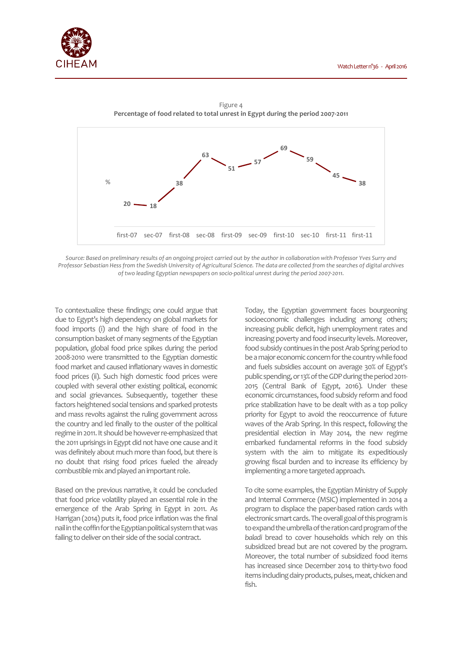



Figure 4 **Percentage of food related to total unrest in Egypt during the period 2007-2011** 

*Source: Based on preliminary results of an ongoing project carried out by the author in collaboration with Professor Yves Surry and Professor Sebastian Hess from the Swedish University of Agricultural Science. The data are collected from the searches of digital archives of two leading Egyptian newspapers on socio-political unrest during the period 2007-2011.* 

To contextualize these findings; one could argue that due to Egypt's high dependency on global markets for food imports (i) and the high share of food in the consumption basket of many segments of the Egyptian population, global food price spikes during the period 2008-2010 were transmitted to the Egyptian domestic food market and caused inflationary waves in domestic food prices (ii). Such high domestic food prices were coupled with several other existing political, economic and social grievances. Subsequently, together these factors heightened social tensions and sparked protests and mass revolts against the ruling government across the country and led finally to the ouster of the political regime in 2011. It should be however re-emphasized that the 2011 uprisings in Egypt did not have one cause and it was definitely about much more than food, but there is no doubt that rising food prices fueled the already combustible mix and played an important role.

Based on the previous narrative, it could be concluded that food price volatility played an essential role in the emergence of the Arab Spring in Egypt in 2011. As Harrigan (2014) puts it, food price inflation was the final nail in the coffin for the Egyptian political system that was failing to deliver on their side of the social contract.

Today, the Egyptian government faces bourgeoning socioeconomic challenges including among others; increasing public deficit, high unemployment rates and increasing poverty and food insecurity levels. Moreover, food subsidy continues in the post Arab Spring period to be a major economic concern for the country while food and fuels subsidies account on average 30% of Egypt's public spending, or 13% of the GDP during the period 2011- 2015 (Central Bank of Egypt, 2016). Under these economic circumstances, food subsidy reform and food price stabilization have to be dealt with as a top policy priority for Egypt to avoid the reoccurrence of future waves of the Arab Spring. In this respect, following the presidential election in May 2014, the new regime embarked fundamental reforms in the food subsidy system with the aim to mitigate its expeditiously growing fiscal burden and to increase its efficiency by implementing a more targeted approach.

To cite some examples, the Egyptian Ministry of Supply and Internal Commerce (MSIC) implemented in 2014 a program to displace the paper-based ration cards with electronic smart cards. The overall goal of this program is to expand the umbrella of the ration card program of the *baladi* bread to cover households which rely on this subsidized bread but are not covered by the program. Moreover, the total number of subsidized food items has increased since December 2014 to thirty-two food items including dairy products, pulses, meat, chicken and fish.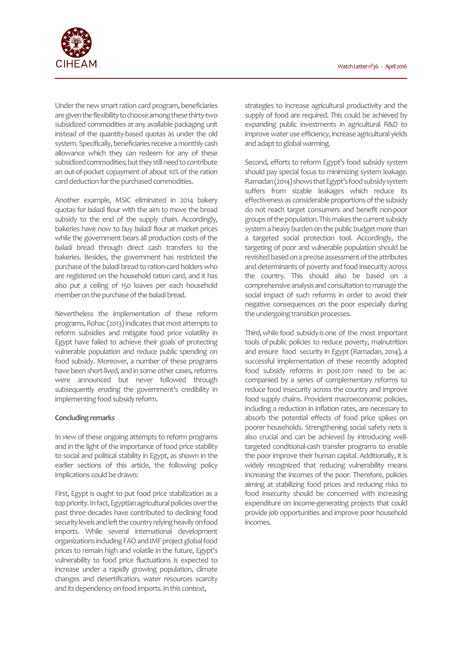

Under the new smart ration card program, beneficiaries are given the flexibility to choose among these thirty-two subsidized commodities at any available packaging unit instead of the quantity-based quotas as under the old system. Specifically, beneficiaries receive a monthly cash allowance which they can redeem for any of these subsidized commodities; but they still need to contribute an out-of-pocket copayment of about 10% of the ration card deduction for the purchased commodities.

Another example, MSIC eliminated in 2014 bakery quotas for *baladi* flour with the aim to move the bread subsidy to the end of the supply chain. Accordingly, bakeries have now to buy *baladi* flour at market prices while the government bears all production costs of the *baladi* bread through direct cash transfers to the bakeries. Besides, the government has restricted the purchase of the *baladi* bread to ration-card holders who are registered on the household ration card, and it has also put a ceiling of 150 loaves per each household member on the purchase of the *baladi* bread.

Nevertheless the implementation of these reform programs, Rohac (2013) indicates that most attempts to reform subsidies and mitigate food price volatility in Egypt have failed to achieve their goals of protecting vulnerable population and reduce public spending on food subsidy. Moreover, a number of these programs have been short-lived, and in some other cases, reforms were announced but never followed through subsequently eroding the government's credibility in implementing food subsidy reform.

### **Concluding remarks**

In view of these ongoing attempts to reform programs and in the light of the importance of food price stability to social and political stability in Egypt, as shown in the earlier sections of this article, the following policy implications could be drawn:

First, Egypt is ought to put food price stabilization as a top priority. In fact, Egyptian agricultural policies over the past three decades have contributed to declining food security levels and left the country relying heavily on food imports. While several international development organizations including FAO and IMF project global food prices to remain high and volatile in the future, Egypt's vulnerability to food price fluctuations is expected to increase under a rapidly growing population, climate changes and desertification, water resources scarcity and its dependency on food imports. In this context,

strategies to increase agricultural productivity and the supply of food are required. This could be achieved by expanding public investments in agricultural R&D to improve water use efficiency, increase agricultural yields and adapt to global warming.

Second, efforts to reform Egypt's food subsidy system should pay special focus to minimizing system leakage. Ramadan (2014) shows that Egypt's food subsidy system suffers from sizable leakages which reduce its effectiveness as considerable proportions of the subsidy do not reach target consumers and benefit non-poor groups of the population. This makes the current subsidy system a heavy burden on the public budget more than a targeted social protection tool. Accordingly, the targeting of poor and vulnerable population should be revisited based on a precise assessment of the attributes and determinants of poverty and food insecurity across the country. This should also be based on a comprehensive analysis and consultation to manage the social impact of such reforms in order to avoid their negative consequences on the poor especially during the undergoing transition processes.

Third, while food subsidy is one of the most important tools of public policies to reduce poverty, malnutrition and ensure food security in Egypt (Ramadan, 2014), a successful implementation of these recently adopted food subsidy reforms in post-2011 need to be accompanied by a series of complementary reforms to reduce food insecurity across the country and improve food supply chains. Provident macroeconomic policies, including a reduction in inflation rates, are necessary to absorb the potential effects of food price spikes on poorer households. Strengthening social safety nets is also crucial and can be achieved by introducing welltargeted conditional-cash transfer programs to enable the poor improve their human capital. Additionally, it is widely recognized that reducing vulnerability means increasing the incomes of the poor. Therefore, policies aiming at stabilizing food prices and reducing risks to food insecurity should be concerned with increasing expenditure on income-generating projects that could provide job opportunities and improve poor household incomes.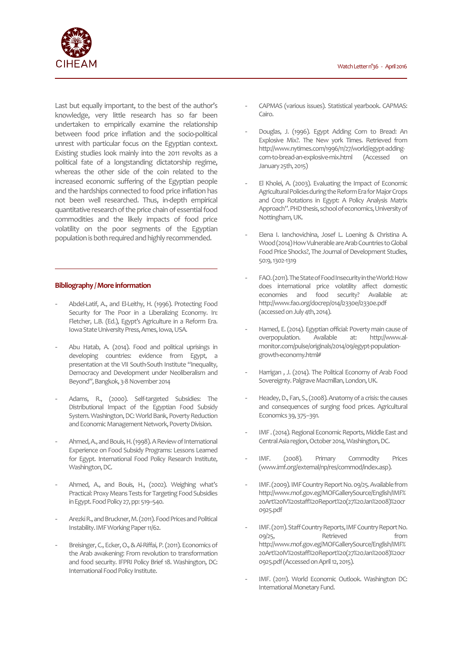

Last but equally important, to the best of the author's knowledge, very little research has so far been undertaken to empirically examine the relationship between food price inflation and the socio-political unrest with particular focus on the Egyptian context. Existing studies look mainly into the 2011 revolts as a political fate of a longstanding dictatorship regime, whereas the other side of the coin related to the increased economic suffering of the Egyptian people and the hardships connected to food price inflation has not been well researched. Thus, in-depth empirical quantitative research of the price chain of essential food commodities and the likely impacts of food price volatility on the poor segments of the Egyptian population is both required and highly recommended.

#### **Bibliography / More information**

- Abdel-Latif, A., and El-Leithy, H. (1996). Protecting Food Security for The Poor in a Liberalizing Economy. In: Fletcher, L.B. (Ed.), Egypt's Agriculture in a Reform Era. Iowa State University Press, Ames, Iowa, USA.
- Abu Hatab, A. (2014). Food and political uprisings in developing countries: evidence from Egypt, a presentation at the VII South-South Institute "Inequality, Democracy and Development under Neoliberalism and Beyond", Bangkok, 3-8 November 2014
- Adams, R., (2000). Self-targeted Subsidies: The Distributional Impact of the Egyptian Food Subsidy System. Washington, DC: World Bank, Poverty Reduction and Economic Management Network, Poverty Division.
- Ahmed, A., and Bouis, H. (1998). A Review of International Experience on Food Subsidy Programs: Lessons Learned for Egypt. International Food Policy Research Institute, Washington, DC.
- Ahmed, A., and Bouis, H., (2002). Weighing what's Practical: Proxy Means Tests for Targeting Food Subsidies in Egypt. Food Policy 27, pp: 519–540.
- Arezki R., and Bruckner, M. (2011). Food Prices and Political Instability. IMF Working Paper 11/62.
- Breisinger, C., Ecker, O., & Al-Riffai, P. (2011). Economics of the Arab awakening: From revolution to transformation and food security. IFPRI Policy Brief 18. Washington, DC: International Food Policy Institute.
- CAPMAS (various issues). Statistical yearbook. CAPMAS: Cairo.
- Douglas, J. (1996). Egypt Adding Corn to Bread: An Explosive Mix?. The New york Times. Retrieved from http://www.nytimes.com/1996/11/27/world/egypt-addingcorn-to-bread-an-explosive-mix.html (Accessed on January 25th, 2015)
- El Kholei, A. (2003). Evaluating the Impact of Economic Agricultural Policies during the Reform Era for Major Crops and Crop Rotations in Egypt: A Policy Analysis Matrix Approach". PHD thesis, school of economics, University of Nottingham, UK.
- Elena I. Ianchovichina, Josef L. Loening & Christina A. Wood (2014) How Vulnerable are Arab Countries to Global Food Price Shocks?, The Journal of Development Studies, 50:9, 1302-1319
- FAO. (2011). The State of Food Insecurity in the World: How does international price volatility affect domestic economies and food security? Available at: http://www.fao.org/docrep/014/i2330e/i2330e.pdf (accessed on July 4th, 2014).
- Hamed, E. (2014). Egyptian official: Poverty main cause of overpopulation. Available at: http://www.almonitor.com/pulse/originals/2014/09/egypt-populationgrowth-economy.html#
- Harrigan , J. (2014). The Political Economy of Arab Food Sovereignty. Palgrave Macmillan, London, UK.
- Headey, D., Fan, S., (2008). Anatomy of a crisis: the causes and consequences of surging food prices. Agricultural Economics 39, 375–391.
- IMF . (2014). Regional Economic Reports, Middle East and Central Asia region, October 2014, Washington, DC.
- IMF. (2008). Primary Commodity Prices (www.imf.org/external/np/res/commod/index.asp).
- IMF. (2009). IMF Country Report No. 09/25. Available from http://www.mof.gov.eg/MOFGallerySource/English/IMF% 20Art%20IV%20staff%20Report%20(27%20Jan%2008)%20cr 0925.pdf
- IMF. (2011). Staff Country Reports, IMF Country Report No. og/25, Retrieved from http://www.mof.gov.eg/MOFGallerySource/English/IMF% 20Art%20IV%20staff%20Report%20(27%20Jan%2008)%20cr 0925.pdf (Accessed on April 12, 2015).
- IMF. (2011). World Economic Outlook. Washington DC: International Monetary Fund.